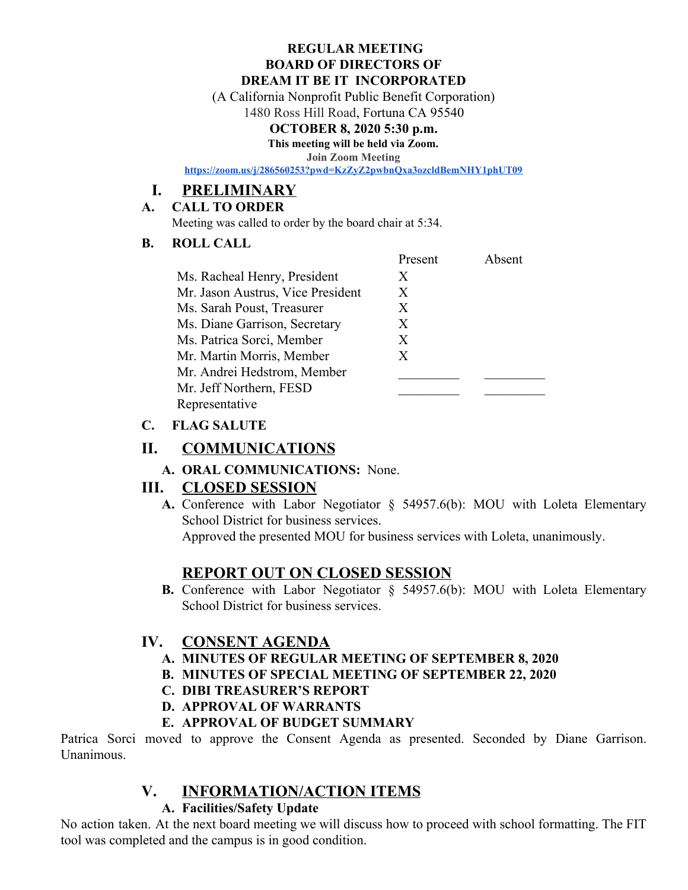#### **REGULAR MEETING BOARD OF DIRECTORS OF DREAM IT BE IT INCORPORATED**

(A California Nonprofit Public Benefit Corporation)

1480 Ross Hill Road, Fortuna CA 95540

#### **OCTOBER 8, 2020 5:30 p.m.**

**This meeting will be held via Zoom.**

**Join Zoom Meeting**

**<https://zoom.us/j/286560253?pwd=KzZyZ2pwbnQxa3ozcldBemNHY1phUT09>**

## **I. PRELIMINARY**

#### **A. CALL TO ORDER**

Meeting was called to order by the board chair at 5:34.

#### **B. ROLL CALL**

|                                   | Present | Absent |
|-----------------------------------|---------|--------|
| Ms. Racheal Henry, President      | X       |        |
| Mr. Jason Austrus, Vice President | X       |        |
| Ms. Sarah Poust, Treasurer        | X       |        |
| Ms. Diane Garrison, Secretary     | X       |        |
| Ms. Patrica Sorci, Member         | X       |        |
| Mr. Martin Morris, Member         | X       |        |
| Mr. Andrei Hedstrom, Member       |         |        |
| Mr. Jeff Northern, FESD           |         |        |
| Representative                    |         |        |

#### **C. FLAG SALUTE**

### **II. COMMUNICATIONS**

**A. ORAL COMMUNICATIONS:** None.

## **III. CLOSED SESSION**

**A.** Conference with Labor Negotiator § 54957.6(b): MOU with Loleta Elementary School District for business services.

Approved the presented MOU for business services with Loleta, unanimously.

## **REPORT OUT ON CLOSED SESSION**

**B.** Conference with Labor Negotiator § 54957.6(b): MOU with Loleta Elementary School District for business services.

## **IV. CONSENT AGENDA**

- **A. MINUTES OF REGULAR MEETING OF SEPTEMBER 8, 2020**
- **B. MINUTES OF SPECIAL MEETING OF SEPTEMBER 22, 2020**
- **C. DIBI TREASURER'S REPORT**
- **D. APPROVAL OF WARRANTS**

#### **E. APPROVAL OF BUDGET SUMMARY**

Patrica Sorci moved to approve the Consent Agenda as presented. Seconded by Diane Garrison. Unanimous.

## **V. INFORMATION/ACTION ITEMS**

#### **A. Facilities/Safety Update**

No action taken. At the next board meeting we will discuss how to proceed with school formatting. The FIT tool was completed and the campus is in good condition.